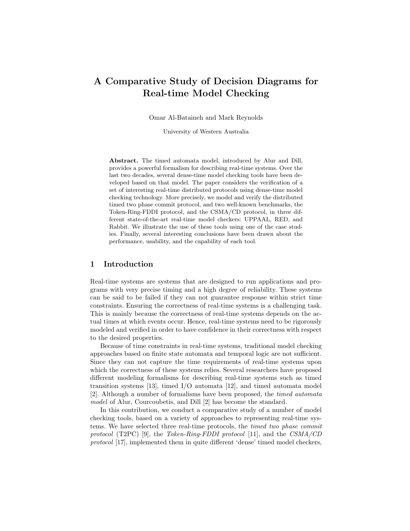# A Comparative Study of Decision Diagrams for Real-time Model Checking

Omar Al-Bataineh and Mark Reynolds

University of Western Australia

Abstract. The timed automata model, introduced by Alur and Dill, provides a powerful formalism for describing real-time systems. Over the last two decades, several dense-time model checking tools have been developed based on that model. The paper considers the verification of a set of interesting real-time distributed protocols using dense-time model checking technology. More precisely, we model and verify the distributed timed two phase commit protocol, and two well-known benchmarks, the Token-Ring-FDDI protocol, and the CSMA/CD protocol, in three different state-of-the-art real-time model checkers: UPPAAL, RED, and Rabbit. We illustrate the use of these tools using one of the case studies. Finally, several interesting conclusions have been drawn about the performance, usability, and the capability of each tool.

# 1 Introduction

Real-time systems are systems that are designed to run applications and programs with very precise timing and a high degree of reliability. These systems can be said to be failed if they can not guarantee response within strict time constraints. Ensuring the correctness of real-time systems is a challenging task. This is mainly because the correctness of real-time systems depends on the actual times at which events occur. Hence, real-time systems need to be rigorously modeled and verified in order to have confidence in their correctness with respect to the desired properties.

Because of time constraints in real-time systems, traditional model checking approaches based on finite state automata and temporal logic are not sufficient. Since they can not capture the time requirements of real-time systems upon which the correctness of these systems relies. Several researchers have proposed different modeling formalisms for describing real-time systems such as timed transition systems [13], timed I/O automata [12], and timed automata model [2]. Although a number of formalisms have been proposed, the timed automata model of Alur, Courcoubetis, and Dill [2] has become the standard.

In this contribution, we conduct a comparative study of a number of model checking tools, based on a variety of approaches to representing real-time systems. We have selected three real-time protocols, the timed two phase commit protocol (T2PC) [9], the Token-Ring-FDDI protocol [11], and the  $CSMA/CD$ protocol [17], implemented them in quite different 'dense' timed model checkers,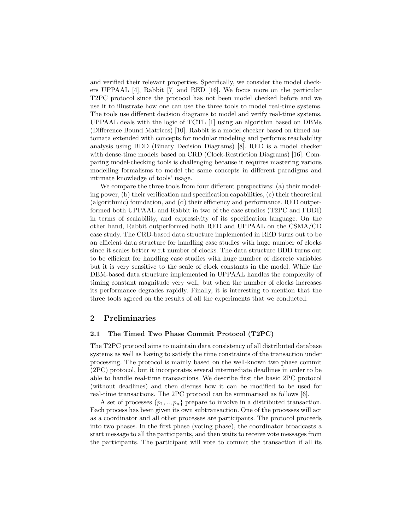and verified their relevant properties. Specifically, we consider the model checkers UPPAAL [4], Rabbit [7] and RED [16]. We focus more on the particular T2PC protocol since the protocol has not been model checked before and we use it to illustrate how one can use the three tools to model real-time systems. The tools use different decision diagrams to model and verify real-time systems. UPPAAL deals with the logic of TCTL [1] using an algorithm based on DBMs (Difference Bound Matrices) [10]. Rabbit is a model checker based on timed automata extended with concepts for modular modeling and performs reachability analysis using BDD (Binary Decision Diagrams) [8]. RED is a model checker with dense-time models based on CRD (Clock-Restriction Diagrams) [16]. Comparing model-checking tools is challenging because it requires mastering various modelling formalisms to model the same concepts in different paradigms and intimate knowledge of tools' usage.

We compare the three tools from four different perspectives: (a) their modeling power, (b) their verification and specification capabilities, (c) their theoretical (algorithmic) foundation, and (d) their efficiency and performance. RED outperformed both UPPAAL and Rabbit in two of the case studies (T2PC and FDDI) in terms of scalability, and expressivity of its specification language. On the other hand, Rabbit outperformed both RED and UPPAAL on the CSMA/CD case study. The CRD-based data structure implemented in RED turns out to be an efficient data structure for handling case studies with huge number of clocks since it scales better w.r.t number of clocks. The data structure BDD turns out to be efficient for handling case studies with huge number of discrete variables but it is very sensitive to the scale of clock constants in the model. While the DBM-based data structure implemented in UPPAAL handles the complexity of timing constant magnitude very well, but when the number of clocks increases its performance degrades rapidly. Finally, it is interesting to mention that the three tools agreed on the results of all the experiments that we conducted.

#### 2 Preliminaries

#### 2.1 The Timed Two Phase Commit Protocol (T2PC)

The T2PC protocol aims to maintain data consistency of all distributed database systems as well as having to satisfy the time constraints of the transaction under processing. The protocol is mainly based on the well-known two phase commit (2PC) protocol, but it incorporates several intermediate deadlines in order to be able to handle real-time transactions. We describe first the basic 2PC protocol (without deadlines) and then discuss how it can be modified to be used for real-time transactions. The 2PC protocol can be summarised as follows [6].

A set of processes  $\{p_1, ..., p_n\}$  prepare to involve in a distributed transaction. Each process has been given its own subtransaction. One of the processes will act as a coordinator and all other processes are participants. The protocol proceeds into two phases. In the first phase (voting phase), the coordinator broadcasts a start message to all the participants, and then waits to receive vote messages from the participants. The participant will vote to commit the transaction if all its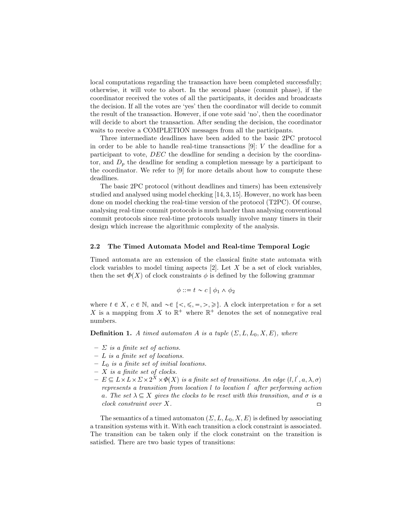local computations regarding the transaction have been completed successfully; otherwise, it will vote to abort. In the second phase (commit phase), if the coordinator received the votes of all the participants, it decides and broadcasts the decision. If all the votes are 'yes' then the coordinator will decide to commit the result of the transaction. However, if one vote said 'no', then the coordinator will decide to abort the transaction. After sending the decision, the coordinator waits to receive a COMPLETION messages from all the participants.

Three intermediate deadlines have been added to the basic 2PC protocol in order to be able to handle real-time transactions  $[9]: V$  the deadline for a participant to vote, DEC the deadline for sending a decision by the coordinator, and  $D_p$  the deadline for sending a completion message by a participant to the coordinator. We refer to [9] for more details about how to compute these deadlines.

The basic 2PC protocol (without deadlines and timers) has been extensively studied and analysed using model checking [14, 3, 15]. However, no work has been done on model checking the real-time version of the protocol (T2PC). Of course, analysing real-time commit protocols is much harder than analysing conventional commit protocols since real-time protocols usually involve many timers in their design which increase the algorithmic complexity of the analysis.

#### 2.2 The Timed Automata Model and Real-time Temporal Logic

Timed automata are an extension of the classical finite state automata with clock variables to model timing aspects  $[2]$ . Let X be a set of clock variables, then the set  $\Phi(X)$  of clock constraints  $\phi$  is defined by the following grammar

$$
\phi ::= t \sim c \mid \phi_1 \land \phi_2
$$

where  $t \in X$ ,  $c \in \mathbb{N}$ , and  $\sim \in \{<,\leq, =, >,\geq\}$ . A clock interpretation v for a set X is a mapping from X to  $\mathbb{R}^+$  where  $\mathbb{R}^+$  denotes the set of nonnegative real numbers.

**Definition 1.** A timed automaton A is a tuple  $(\Sigma, L, L_0, X, E)$ , where

- $\Sigma$  is a finite set of actions.
- $L$  is a finite set of locations.
- $L_0$  is a finite set of initial locations.
- $X$  is a finite set of clocks.
- $E \subseteq L \times L \times \Sigma \times 2^{X} \times \Phi(X)$  is a finite set of transitions. An edge  $(l, l', a, \lambda, \sigma)$  $\overline{z} = \overline{z} = \overline{z} = \overline{z} = \overline{z} = \overline{z} = \overline{z} = \overline{z} = \overline{z} = \overline{z} = \overline{z} = \overline{z} = \overline{z} = \overline{z} = \overline{z} = \overline{z} = \overline{z} = \overline{z} = \overline{z} = \overline{z} = \overline{z} = \overline{z} = \overline{z} = \overline{z} = \overline{z} = \overline{z} = \overline{z} = \overline{z} = \overline{z} = \overline{z} = \overline{z} = \overline$ a. The set  $\lambda \subseteq X$  gives the clocks to be reset with this transition, and  $\sigma$  is a clock constraint over  $X$ .

The semantics of a timed automaton  $(\Sigma, L, L_0, X, E)$  is defined by associating a transition systems with it. With each transition a clock constraint is associated. The transition can be taken only if the clock constraint on the transition is satisfied. There are two basic types of transitions: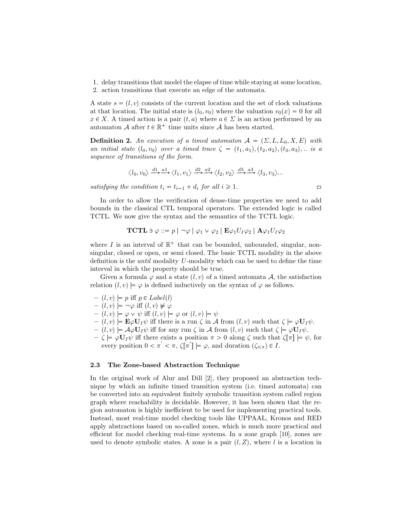1. delay transitions that model the elapse of time while staying at some location, 2. action transitions that execute an edge of the automata.

A state  $s = (l, v)$  consists of the current location and the set of clock valuations at that location. The initial state is  $(l_0, v_0)$  where the valuation  $v_0(x) = 0$  for all  $x \in X$ . A timed action is a pair  $(t, a)$  where  $a \in \Sigma$  is an action performed by an automaton  $\mathcal A$  after  $t \in \mathbb R^+$  time units since  $\mathcal A$  has been started.

**Definition 2.** An execution of a timed automaton  $A = (\Sigma, L, L_0, X, E)$  with an initial state  $(l_0, v_0)$  over a timed trace  $\zeta = (t_1, a_1), (t_2, a_2), (t_3, a_3), \dots$  is a sequence of transitions of the form.

$$
\langle l_0, v_0 \rangle \xrightarrow{d_1} \xrightarrow{a_1} \langle l_1, v_1 \rangle \xrightarrow{d_2} \xrightarrow{a_2} \langle l_2, v_2 \rangle \xrightarrow{d_3} \xrightarrow{a_3} \langle l_3, v_3 \rangle \dots
$$

satisfying the condition  $t_i = t_{i-1} + d_i$  for all  $i \geq 1$ .

In order to allow the verification of dense-time properties we need to add bounds in the classical CTL temporal operators. The extended logic is called TCTL. We now give the syntax and the semantics of the TCTL logic.

$$
TCTL \ni \varphi ::= p \mid \neg \varphi \mid \varphi_1 \lor \varphi_2 \mid E\varphi_1 U_I \varphi_2 \mid A\varphi_1 U_I \varphi_2
$$

where I is an interval of  $\mathbb{R}^+$  that can be bounded, unbounded, singular, nonsingular, closed or open, or semi closed. The basic TCTL modality in the above definition is the *until* modality  $U$ -modality which can be used to define the time interval in which the property should be true.

Given a formula  $\varphi$  and a state  $(l, v)$  of a timed automata A, the satisfaction relation  $(l, v) \models \varphi$  is defined inductively on the syntax of  $\varphi$  as follows.

- $(l, v) \models p$  iff  $p \in Label(l)$
- $(l, v) \models \neg \varphi$  iff  $(l, v) \not\models \varphi$
- $(l, v) \models \varphi \lor \psi$  iff  $(l, v) \models \varphi$  or  $(l, v) \models \psi$
- $(l, v) \models \mathbf{E}\varphi\mathbf{U}_I\psi$  iff there is a run  $\zeta$  in A from  $(l, v)$  such that  $\zeta \models \varphi\mathbf{U}_I\psi$ .
- $(l, v) \models \mathcal{A}\varphi \mathbf{U}_I \psi$  iff for any run  $\zeta$  in A from  $(l, v)$  such that  $\zeta \models \varphi \mathbf{U}_I \psi$ .
- $-\zeta \models \varphi \mathbf{U}_I \psi$  iff there exists a position  $\pi > 0$  along  $\zeta$  such that  $\zeta[\pi] \models \psi$ , for every position  $0 < \pi < \pi$ ,  $\zeta[\pi'] \models \varphi$ , and duration  $(\zeta \le \pi) \in I$ .

#### 2.3 The Zone-based Abstraction Technique

In the original work of Alur and Dill [2], they proposed an abstraction technique by which an infinite timed transition system (i.e. timed automata) can be converted into an equivalent finitely symbolic transition system called region graph where reachability is decidable. However, it has been shown that the region automaton is highly inefficient to be used for implementing practical tools. Instead, most real-time model checking tools like UPPAAL, Kronos and RED apply abstractions based on so-called zones, which is much more practical and efficient for model checking real-time systems. In a zone graph [10], zones are used to denote symbolic states. A zone is a pair  $(l, Z)$ , where l is a location in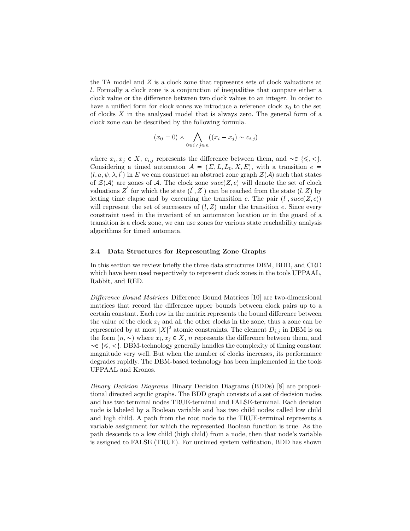the TA model and Z is a clock zone that represents sets of clock valuations at l. Formally a clock zone is a conjunction of inequalities that compare either a clock value or the difference between two clock values to an integer. In order to have a unified form for clock zones we introduce a reference clock  $x_0$  to the set of clocks  $X$  in the analysed model that is always zero. The general form of a clock zone can be described by the following formula.

$$
(x_0 = 0) \wedge \bigwedge_{0 \le i \ne j \le n} ((x_i - x_j) \sim c_{i,j})
$$

where  $x_i, x_j \in X$ ,  $c_{i,j}$  represents the difference between them, and  $\sim \in \{ \leqslant, \leqslant \}$ . Considering a timed automaton  $A = (\Sigma, L, L_0, X, E)$ , with a transition  $e =$  $(l, a, \psi, \lambda, l')$  in E we can construct an abstract zone graph  $\mathcal{Z}(\mathcal{A})$  such that states of  $\mathcal{Z}(\mathcal{A})$  are zones of A. The clock zone succ $(Z, e)$  will denote the set of clock valuations Z' for which the state  $(l', Z')$  can be reached from the state  $(l, Z)$  by letting time elapse and by executing the transition e. The pair  $(l',succ(Z,e))$ will represent the set of successors of  $(l, Z)$  under the transition e. Since every constraint used in the invariant of an automaton location or in the guard of a transition is a clock zone, we can use zones for various state reachability analysis algorithms for timed automata.

#### 2.4 Data Structures for Representing Zone Graphs

In this section we review briefly the three data structures DBM, BDD, and CRD which have been used respectively to represent clock zones in the tools UPPAAL, Rabbit, and RED.

Difference Bound Matrices Difference Bound Matrices [10] are two-dimensional matrices that record the difference upper bounds between clock pairs up to a certain constant. Each row in the matrix represents the bound difference between the value of the clock  $x_i$  and all the other clocks in the zone, thus a zone can be represented by at most  $|X|^2$  atomic constraints. The element  $D_{i,j}$  in DBM is on the form  $(n, \sim)$  where  $x_i, x_j \in X$ , n represents the difference between them, and  $\sim \in \{ \leq, \leq \}$ . DBM-technology generally handles the complexity of timing constant magnitude very well. But when the number of clocks increases, its performance degrades rapidly. The DBM-based technology has been implemented in the tools UPPAAL and Kronos.

Binary Decision Diagrams Binary Decision Diagrams (BDDs) [8] are propositional directed acyclic graphs. The BDD graph consists of a set of decision nodes and has two terminal nodes TRUE-terminal and FALSE-terminal. Each decision node is labeled by a Boolean variable and has two child nodes called low child and high child. A path from the root node to the TRUE-terminal represents a variable assignment for which the represented Boolean function is true. As the path descends to a low child (high child) from a node, then that node's variable is assigned to FALSE (TRUE). For untimed system veification, BDD has shown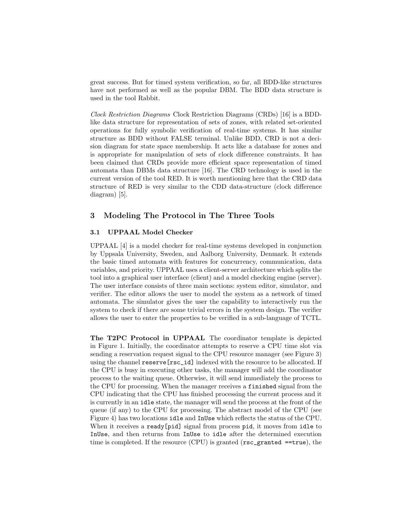great success. But for timed system verification, so far, all BDD-like structures have not performed as well as the popular DBM. The BDD data structure is used in the tool Rabbit.

Clock Restriction Diagrams Clock Restriction Diagrams (CRDs) [16] is a BDDlike data structure for representation of sets of zones, with related set-oriented operations for fully symbolic verification of real-time systems. It has similar structure as BDD without FALSE terminal. Unlike BDD, CRD is not a decision diagram for state space membership. It acts like a database for zones and is appropriate for manipulation of sets of clock difference constraints. It has been claimed that CRDs provide more efficient space representation of timed automata than DBMs data structure [16]. The CRD technology is used in the current version of the tool RED. It is worth mentioning here that the CRD data structure of RED is very similar to the CDD data-structure (clock difference diagram) [5].

# 3 Modeling The Protocol in The Three Tools

## 3.1 UPPAAL Model Checker

UPPAAL [4] is a model checker for real-time systems developed in conjunction by Uppsala University, Sweden, and Aalborg University, Denmark. It extends the basic timed automata with features for concurrency, communication, data variables, and priority. UPPAAL uses a client-server architecture which splits the tool into a graphical user interface (client) and a model checking engine (server). The user interface consists of three main sections: system editor, simulator, and verifier. The editor allows the user to model the system as a network of timed automata. The simulator gives the user the capability to interactively run the system to check if there are some trivial errors in the system design. The verifier allows the user to enter the properties to be verified in a sub-language of TCTL.

The T2PC Protocol in UPPAAL The coordinator template is depicted in Figure 1. Initially, the coordinator attempts to reserve a CPU time slot via sending a reservation request signal to the CPU resource manager (see Figure 3) using the channel reserve[rsc\_id] indexed with the resource to be allocated. If the CPU is busy in executing other tasks, the manager will add the coordinator process to the waiting queue. Otherwise, it will send immediately the process to the CPU for processing. When the manager receives a finished signal from the CPU indicating that the CPU has finished processing the current process and it is currently in an idle state, the manager will send the process at the front of the queue (if any) to the CPU for processing. The abstract model of the CPU (see Figure 4) has two locations idle and InUse which reflects the status of the CPU. When it receives a ready [pid] signal from process pid, it moves from idle to InUse, and then returns from InUse to idle after the determined execution time is completed. If the resource (CPU) is granted  $(rsc\_granted = true)$ , the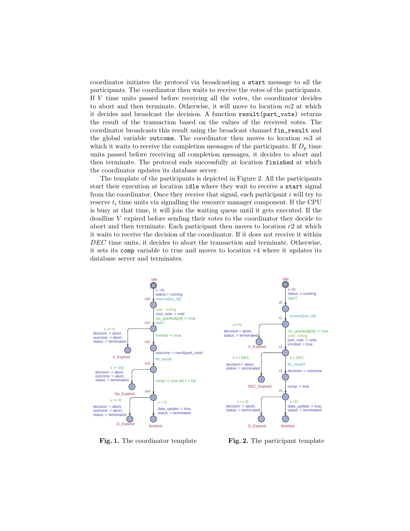coordinator initiates the protocol via broadcasting a start message to all the participants. The coordinator then waits to receive the votes of the participants. If V time units passed before receiving all the votes, the coordinator decides to abort and then terminate. Otherwise, it will move to location  $m2$  at which it decides and broadcast the decision. A function result(part\_vote) returns the result of the transaction based on the values of the received votes. The coordinator broadcasts this result using the broadcast channel fin\_result and the global variable outcome. The coordinator then moves to location m3 at which it waits to receive the completion messages of the participants. If  $D_p$  time units passed before receiving all completion messages, it decides to abort and then terminate. The protocol ends successfully at location finished at which the coordinator updates its database server.

The template of the participants is depicted in Figure 2. All the participants start their execution at location idle where they wait to receive a start signal from the coordinator. Once they receive that signal, each participant  $i$  will try to reserve  $t_i$  time units via signalling the resource manager component. If the CPU is busy at that time, it will join the waiting queue until it gets executed. If the deadline V expired before sending their votes to the coordinator they decide to abort and then terminate. Each participant then moves to location  $r<sub>2</sub>$  at which it waits to receive the decision of the coordinator. If it does not receive it within DEC time units, it decides to abort the transaction and terminate. Otherwise, it sets its comp variable to true and moves to location  $r4$  where it updates its database server and terminates.



Fig. 1. The coordinator template

Fig. 2. The participant template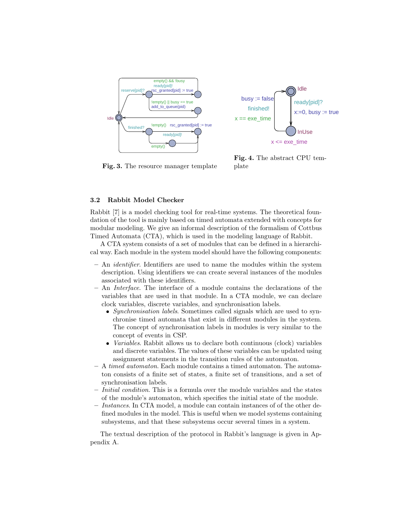



Fig. 3. The resource manager template

Fig. 4. The abstract CPU template

#### 3.2 Rabbit Model Checker

Rabbit [7] is a model checking tool for real-time systems. The theoretical foundation of the tool is mainly based on timed automata extended with concepts for modular modeling. We give an informal description of the formalism of Cottbus Timed Automata (CTA), which is used in the modeling language of Rabbit.

A CTA system consists of a set of modules that can be defined in a hierarchical way. Each module in the system model should have the following components:

- An identifier. Identifiers are used to name the modules within the system description. Using identifiers we can create several instances of the modules associated with these identifiers.
- An Interface. The interface of a module contains the declarations of the variables that are used in that module. In a CTA module, we can declare clock variables, discrete variables, and synchronisation labels.
	- Synchronisation labels. Sometimes called signals which are used to synchronise timed automata that exist in different modules in the system. The concept of synchronisation labels in modules is very similar to the concept of events in CSP.
	- *Variables*. Rabbit allows us to declare both continuous (clock) variables and discrete variables. The values of these variables can be updated using assignment statements in the transition rules of the automaton.
- $-$  A timed automaton. Each module contains a timed automaton. The automaton consists of a finite set of states, a finite set of transitions, and a set of synchronisation labels.
- Initial condition. This is a formula over the module variables and the states of the module's automaton, which specifies the initial state of the module.
- Instances. In CTA model, a module can contain instances of of the other defined modules in the model. This is useful when we model systems containing subsystems, and that these subsystems occur several times in a system.

The textual description of the protocol in Rabbit's language is given in Appendix A.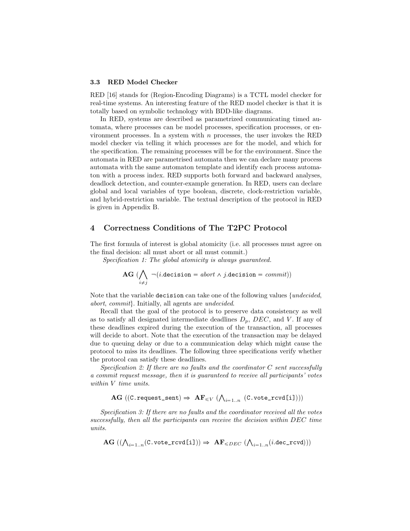#### 3.3 RED Model Checker

RED [16] stands for (Region-Encoding Diagrams) is a TCTL model checker for real-time systems. An interesting feature of the RED model checker is that it is totally based on symbolic technology with BDD-like diagrams.

In RED, systems are described as parametrized communicating timed automata, where processes can be model processes, specification processes, or environment processes. In a system with  $n$  processes, the user invokes the RED model checker via telling it which processes are for the model, and which for the specification. The remaining processes will be for the environment. Since the automata in RED are parametrised automata then we can declare many process automata with the same automaton template and identify each process automaton with a process index. RED supports both forward and backward analyses, deadlock detection, and counter-example generation. In RED, users can declare global and local variables of type boolean, discrete, clock-restriction variable, and hybrid-restriction variable. The textual description of the protocol in RED is given in Appendix B.

# 4 Correctness Conditions of The T2PC Protocol

The first formula of interest is global atomicity (i.e. all processes must agree on the final decision: all must abort or all must commit.)

Specification 1: The global atomicity is always guaranteed.

$$
\textbf{AG} \text{ } (\bigwedge_{i \neq j} \neg (i.\texttt{decision} = \textit{abort} \land j.\texttt{decision} = \textit{commit}))
$$

Note that the variable decision can take one of the following values  ${l$  undecided, abort, commit. Initially, all agents are *undecided*.

Recall that the goal of the protocol is to preserve data consistency as well as to satisfy all designated intermediate deadlines  $D_p$ ,  $DEC$ , and V. If any of these deadlines expired during the execution of the transaction, all processes will decide to abort. Note that the execution of the transaction may be delayed due to queuing delay or due to a communication delay which might cause the protocol to miss its deadlines. The following three specifications verify whether the protocol can satisfy these deadlines.

Specification 2: If there are no faults and the coordinator C sent successfully a commit request message, then it is guaranteed to receive all participants' votes within V time units.

 $\text{{\bf AG}} \; ((\text{{\tt C}.request\_sent}) \Rightarrow \; \text{{\bf AF}}_{\leqslant V} \; (\bigwedge_{i=1..n} \; (\text{{\tt C.vote\_rcvd[i]}})))$ 

Specification 3: If there are no faults and the coordinator received all the votes successfully, then all the participants can receive the decision within DEC time units.

$$
\textbf{AG } ((\bigwedge_{i=1..n} (\texttt{C.vote\_rcvd[i]})) \Rightarrow \textbf{AF}_{\leq DEC} (\bigwedge_{i=1..n} (i.\texttt{dec\_rcvd})))
$$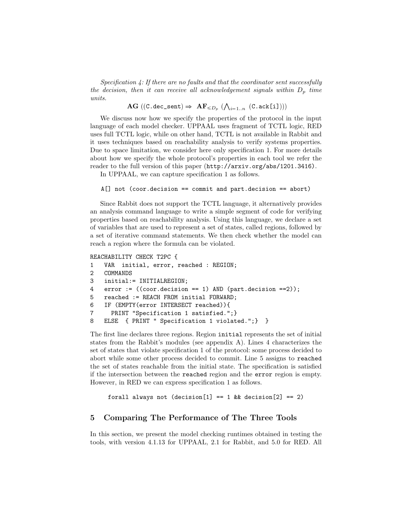Specification  $\ddot{A}$ : If there are no faults and that the coordinator sent successfully the decision, then it can receive all acknowledgement signals within  $D_p$  time units.

 $\text{{\bf AG}}\;((\text{{\tt C}.dec\_sent})\Rightarrow \; \text{{\bf AF}}_{\leqslant D_p}\;(\bigwedge_{i=1..n}\;(\text{{\tt C.ack}}\;\text{{\tt [i]}})))$ 

We discuss now how we specify the properties of the protocol in the input language of each model checker. UPPAAL uses fragment of TCTL logic, RED uses full TCTL logic, while on other hand, TCTL is not available in Rabbit and it uses techniques based on reachability analysis to verify systems properties. Due to space limitation, we consider here only specification 1. For more details about how we specify the whole protocol's properties in each tool we refer the reader to the full version of this paper (http://arxiv.org/abs/1201.3416).

In UPPAAL, we can capture specification 1 as follows.

A[] not (coor.decision == commit and part.decision == abort)

Since Rabbit does not support the TCTL language, it alternatively provides an analysis command language to write a simple segment of code for verifying properties based on reachability analysis. Using this language, we declare a set of variables that are used to represent a set of states, called regions, followed by a set of iterative command statements. We then check whether the model can reach a region where the formula can be violated.

```
REACHABILITY CHECK T2PC {
```

```
1 VAR initial, error, reached : REGION;
2 COMMANDS
3 initial:= INITIALREGION;
4 error := ((coor.decision == 1) AND (part.decision ==2));
5 reached := REACH FROM initial FORWARD;
6 IF (EMPTY(error INTERSECT reached)){
7 PRINT "Specification 1 satisfied.";}
8 ELSE { PRINT " Specification 1 violated.";} }
```
The first line declares three regions. Region initial represents the set of initial states from the Rabbit's modules (see appendix A). Lines 4 characterizes the set of states that violate specification 1 of the protocol: some process decided to abort while some other process decided to commit. Line 5 assigns to reached the set of states reachable from the initial state. The specification is satisfied if the intersection between the reached region and the error region is empty. However, in RED we can express specification 1 as follows.

```
forall always not (decision[1] == 1 && decision[2] == 2)
```
## 5 Comparing The Performance of The Three Tools

In this section, we present the model checking runtimes obtained in testing the tools, with version 4.1.13 for UPPAAL, 2.1 for Rabbit, and 5.0 for RED. All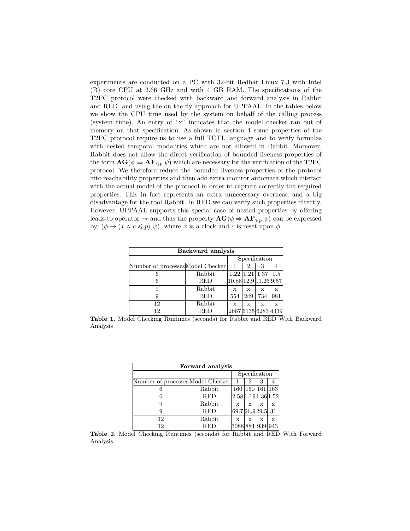experiments are conducted on a PC with 32-bit Redhat Linux 7.3 with Intel (R) core CPU at 2.66 GHz and with 4 GB RAM. The specifications of the T2PC protocol were checked with backward and forward analysis in Rabbit and RED, and using the on the fly approach for UPPAAL. In the tables below we show the CPU time used by the system on behalf of the calling process (system time). An entry of "x" indicates that the model checker ran out of memory on that specification. As shown in section 4 some properties of the T2PC protocol require us to use a full TCTL language and to verify formulas with nested temporal modalities which are not allowed in Rabbit. Moreover, Rabbit does not allow the direct verification of bounded liveness properties of the form  $AG(\phi \Rightarrow AF_{\leq p} \psi)$  which are necessary for the verification of the T2PC protocol. We therefore reduce the bounded liveness properties of the protocol into reachability properties and then add extra monitor automata which interact with the actual model of the protocol in order to capture correctly the required properties. This in fact represents an extra unnecessary overhead and a big disadvantage for the tool Rabbit. In RED we can verify such properties directly. However, UPPAAL supports this special case of nested properties by offering leads-to operator  $\rightarrow$  and thus the property  $AG(\phi \Rightarrow AF_{\leq p} \psi)$  can be expressed by:  $(\phi \rightarrow (x \land c \leq p) \psi)$ , where x is a clock and c is reset upon  $\phi$ .

| Backward analysis                 |               |              |     |                          |     |  |  |  |  |
|-----------------------------------|---------------|--------------|-----|--------------------------|-----|--|--|--|--|
|                                   | Specification |              |     |                          |     |  |  |  |  |
| Number of processes Model Checker |               | 2            |     |                          |     |  |  |  |  |
|                                   | Rabbit        |              |     | $1.22$   $1.21$   $1.37$ | 1.5 |  |  |  |  |
|                                   | <b>RED</b>    |              |     | 10.88 12.9 11.26 9.57    |     |  |  |  |  |
|                                   | Rabbit        | $\mathbf{x}$ | X   | X                        | X   |  |  |  |  |
|                                   | <b>RED</b>    | 554          | 249 | 734                      | 981 |  |  |  |  |
| 12                                | Rabbit        | X            | X   | $\mathbf x$              | X   |  |  |  |  |
| 12                                | <b>RED</b>    |              |     | 2667 6135 6283 4339      |     |  |  |  |  |

Table 1. Model Checking Runtimes (seconds) for Rabbit and RED With Backward Analysis

| Forward analysis                  |                     |                  |              |                       |              |  |  |  |  |  |
|-----------------------------------|---------------------|------------------|--------------|-----------------------|--------------|--|--|--|--|--|
|                                   |                     |                  |              |                       |              |  |  |  |  |  |
|                                   | Specification       |                  |              |                       |              |  |  |  |  |  |
| Number of processes Model Checker | 1                   | $\overline{2}$   | 3            |                       |              |  |  |  |  |  |
|                                   | Rabbit              |                  |              | 160   160   161   163 |              |  |  |  |  |  |
|                                   | 2.58 1.19 1.36 1.52 |                  |              |                       |              |  |  |  |  |  |
|                                   | Rabbit              | X                | $\mathbf{x}$ | X                     | X            |  |  |  |  |  |
|                                   | <b>RED</b>          | 69.7 26.9 29.5   |              |                       | 31           |  |  |  |  |  |
| 12                                | Rabbit              | X                | X            | X                     | $\mathbf{x}$ |  |  |  |  |  |
| 12                                | RED                 | 3088 884 939 943 |              |                       |              |  |  |  |  |  |

Table 2. Model Checking Runtimes (seconds) for Rabbit and RED With Forward Analysis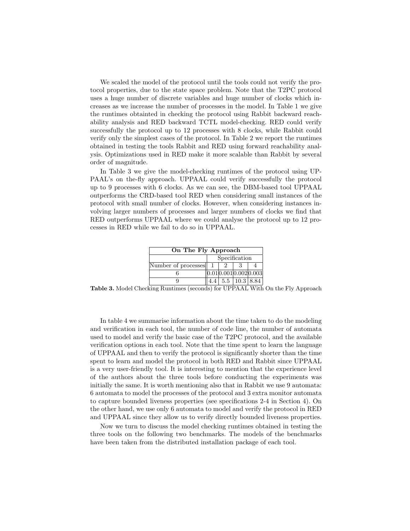We scaled the model of the protocol until the tools could not verify the protocol properties, due to the state space problem. Note that the T2PC protocol uses a huge number of discrete variables and huge number of clocks which increases as we increase the number of processes in the model. In Table 1 we give the runtimes obtainted in checking the protocol using Rabbit backward reachability analysis and RED backward TCTL model-checking. RED could verify successfully the protocol up to 12 processes with 8 clocks, while Rabbit could verify only the simplest cases of the protocol. In Table 2 we report the runtimes obtained in testing the tools Rabbit and RED using forward reachability analysis. Optimizations used in RED make it more scalable than Rabbit by several order of magnitude.

In Table 3 we give the model-checking runtimes of the protocol using UP-PAAL's on the-fly approach. UPPAAL could verify successfully the protocol up to 9 processes with 6 clocks. As we can see, the DBM-based tool UPPAAL outperforms the CRD-based tool RED when considering small instances of the protocol with small number of clocks. However, when considering instances involving larger numbers of processes and larger numbers of clocks we find that RED outperforms UPPAAL where we could analyse the protocol up to 12 processes in RED while we fail to do so in UPPAAL.

| On The Fly Approach |               |                                           |  |  |  |  |  |  |  |
|---------------------|---------------|-------------------------------------------|--|--|--|--|--|--|--|
|                     | Specification |                                           |  |  |  |  |  |  |  |
| Number of processes |               |                                           |  |  |  |  |  |  |  |
|                     |               | [0.01] 0.001] 0.002] 0.003                |  |  |  |  |  |  |  |
|                     |               | 4.4 $\vert$ 5.5 $\vert$ 10.3 $\vert$ 8.84 |  |  |  |  |  |  |  |

Table 3. Model Checking Runtimes (seconds) for UPPAAL With On the Fly Approach

In table 4 we summarise information about the time taken to do the modeling and verification in each tool, the number of code line, the number of automata used to model and verify the basic case of the T2PC protocol, and the available verification options in each tool. Note that the time spent to learn the language of UPPAAL and then to verify the protocol is significantly shorter than the time spent to learn and model the protocol in both RED and Rabbit since UPPAAL is a very user-friendly tool. It is interesting to mention that the experience level of the authors about the three tools before conducting the experiments was initially the same. It is worth mentioning also that in Rabbit we use 9 automata: 6 automata to model the processes of the protocol and 3 extra monitor automata to capture bounded liveness properties (see specifications 2-4 in Section 4). On the other hand, we use only 6 automata to model and verify the protocol in RED and UPPAAL since they allow us to verify directly bounded liveness properties.

Now we turn to discuss the model checking runtimes obtained in testing the three tools on the following two benchmarks. The models of the benchmarks have been taken from the distributed installation package of each tool.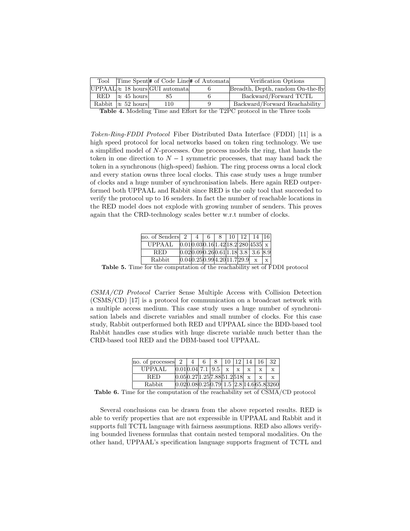| Tool                                                    |                    | Time Spent# of Code Line# of Automata        | Verification Options              |
|---------------------------------------------------------|--------------------|----------------------------------------------|-----------------------------------|
|                                                         |                    | $UPPAAL \approx 18$ hours GUI automata       | Breadth, Depth, random On-the-fly |
| <b>RED</b>                                              | $\approx 45$ hours | 85                                           | Backward/Forward TCTL             |
| Rabbit $\approx 52$ hours                               |                    | 110                                          | Backward/Forward Reachability     |
| $\sim$ $\sim$ $\sim$ $\sim$ $\sim$ $\sim$ $\sim$ $\sim$ |                    | $\mathbf{1}$ $\mathbf{1}$ $\alpha$<br>$\sim$ | $\pi$                             |

Table 4. Modeling Time and Effort for the T2PC protocol in the Three tools

Token-Ring-FDDI Protocol Fiber Distributed Data Interface (FDDI) [11] is a high speed protocol for local networks based on token ring technology. We use a simplified model of N-processes. One process models the ring, that hands the token in one direction to  $N-1$  symmetric processes, that may hand back the token in a synchronous (high-speed) fashion. The ring process owns a local clock and every station owns three local clocks. This case study uses a huge number of clocks and a huge number of synchronisation labels. Here again RED outperformed both UPPAAL and Rabbit since RED is the only tool that succeeded to verify the protocol up to 16 senders. In fact the number of reachable locations in the RED model does not explode with growing number of senders. This proves again that the CRD-technology scales better w.r.t number of clocks.

| no. of Senders 2 |                                                                                                               | 4 | 6. |  | 8   10   12   14   16                          |  |
|------------------|---------------------------------------------------------------------------------------------------------------|---|----|--|------------------------------------------------|--|
| <b>UPPAAL</b>    |                                                                                                               |   |    |  | $ 0.01 0.03 0.16 1.42 18.2 280 4535 \times$    |  |
| <b>RED</b>       |                                                                                                               |   |    |  | $[0.02] 0.09] 0.26] 0.61] 1.18] 3.8] 3.6[8.9]$ |  |
| Rabbit           | $\overline{0.04}$ $\overline{0.25}$ $\overline{0.99}$ $\overline{4.20}$ $\overline{11.7}$ $\overline{29.9}$ x |   |    |  |                                                |  |

Table 5. Time for the computation of the reachability set of FDDI protocol

CSMA/CD Protocol Carrier Sense Multiple Access with Collision Detection (CSMS/CD) [17] is a protocol for communication on a broadcast network with a multiple access medium. This case study uses a huge number of synchronisation labels and discrete variables and small number of clocks. For this case study, Rabbit outperformed both RED and UPPAAL since the BDD-based tool Rabbit handles case studies with huge discrete variable much better than the CRD-based tool RED and the DBM-based tool UPPAAL.

| no. of processes $2 \mid 4 \mid$ |                                          | 6 | 8   10   12   14   16 |  | 32                                                    |
|----------------------------------|------------------------------------------|---|-----------------------|--|-------------------------------------------------------|
| <b>UPPAAL</b>                    | $[0.01 0.04 7.1 9.5  \times   \times ]$  |   |                       |  |                                                       |
| RED                              | $ 0.05 0.27 1.25 7.88 51.2 518 \times  $ |   |                       |  |                                                       |
| Rabbit                           |                                          |   |                       |  | $[0.02] 0.08] 0.25] 0.79] 1.5] 2.8] 14.6] 65.8] 3260$ |

Table 6. Time for the computation of the reachability set of CSMA/CD protocol

Several conclusions can be drawn from the above reported results. RED is able to verify properties that are not expressible in UPPAAL and Rabbit and it supports full TCTL language with fairness assumptions. RED also allows verifying bounded liveness formulas that contain nested temporal modalities. On the other hand, UPPAAL's specification language supports fragment of TCTL and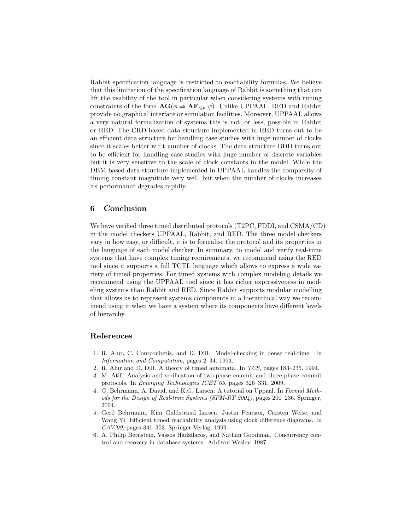Rabbit specification language is restricted to reachability formulas. We believe that this limitation of the specification language of Rabbit is something that can lift the usability of the tool in particular when considering systems with timing constraints of the form  $\mathbf{AG}(\phi \Rightarrow \mathbf{AF}_{\leq p} \psi)$ . Unlike UPPAAL, RED and Rabbit provide no graphical interface or simulation facilities. Moreover, UPPAAL allows a very natural formalization of systems this is not, or less, possible in Rabbit or RED. The CRD-based data structure implemented in RED turns out to be an efficient data structure for handling case studies with huge number of clocks since it scales better w.r.t number of clocks. The data structure BDD turns out to be efficient for handling case studies with huge number of discrete variables but it is very sensitive to the scale of clock constants in the model. While the DBM-based data structure implemented in UPPAAL handles the complexity of timing constant magnitude very well, but when the number of clocks increases its performance degrades rapidly.

## 6 Conclusion

We have verified three timed distributed protocols (T2PC, FDDI, and CSMA/CD) in the model checkers UPPAAL, Rabbit, and RED. The three model checkers vary in how easy, or difficult, it is to formalise the protocol and its properties in the language of each model checker. In summary, to model and verify real-time systems that have complex timing requirements, we recommend using the RED tool since it supports a full TCTL language which allows to express a wide variety of timed properties. For timed systems with complex modeling details we recommend using the UPPAAL tool since it has richer expressiveness in modeling systems than Rabbit and RED. Since Rabbit supports modular modelling that allows us to represent systems components in a hierarchical way we recommend using it when we have a system where its components have different levels of hierarchy.

## References

- 1. R. Alur, C. Courcoubetis, and D. Dill. Model-checking in dense real-time. In Information and Computation, pages 2–34. 1993.
- 2. R. Alur and D. Dill. A theory of timed automata. In TCS, pages 183–235. 1994.
- 3. M. Atif. Analysis and verification of two-phase commit and three-phase commit protocols. In Emerging Technologies ICET'09, pages 326–331, 2009.
- 4. G. Behrmann, A. David, and K.G. Larsen. A tutorial on Uppaal. In Formal Methods for the Design of Real-time Systems (SFM-RT 2004), pages 200–236. Springer, 2004.
- 5. Gerd Behrmann, Kim Guldstrand Larsen, Justin Pearson, Carsten Weise, and Wang Yi. Efficient timed reachability analysis using clock difference diagrams. In CAV'99, pages 341–353. Springer-Verlag, 1999.
- 6. A. Philip Bernstein, Vassos Hadzilacos, and Nathan Goodman. Concurrency control and recovery in database systems. Addison-Wesley, 1987.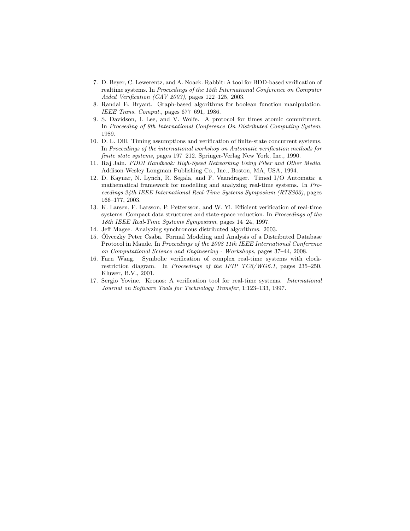- 7. D. Beyer, C. Lewerentz, and A. Noack. Rabbit: A tool for BDD-based verification of realtime systems. In Proceedings of the 15th International Conference on Computer Aided Verification (CAV 2003), pages 122–125, 2003.
- 8. Randal E. Bryant. Graph-based algorithms for boolean function manipulation. IEEE Trans. Comput., pages 677–691, 1986.
- 9. S. Davidson, I. Lee, and V. Wolfe. A protocol for times atomic commitment. In Proceeding of 9th International Conference On Distributed Computing System, 1989.
- 10. D. L. Dill. Timing assumptions and verification of finite-state concurrent systems. In Proceedings of the international workshop on Automatic verification methods for finite state systems, pages 197–212. Springer-Verlag New York, Inc., 1990.
- 11. Raj Jain. FDDI Handbook: High-Speed Networking Using Fiber and Other Media. Addison-Wesley Longman Publishing Co., Inc., Boston, MA, USA, 1994.
- 12. D. Kaynar, N. Lynch, R. Segala, and F. Vaandrager. Timed I/O Automata: a mathematical framework for modelling and analyzing real-time systems. In Proceedings 24th IEEE International Real-Time Systems Symposium (RTSS03), pages 166–177, 2003.
- 13. K. Larsen, F. Larsson, P. Pettersson, and W. Yi. Efficient verification of real-time systems: Compact data structures and state-space reduction. In Proceedings of the 18th IEEE Real-Time Systems Symposium, pages 14–24, 1997.
- 14. Jeff Magee. Analyzing synchronous distributed algorithms. 2003.
- 15. Olveczky Peter Csaba. Formal Modeling and Analysis of a Distributed Database ¨ Protocol in Maude. In Proceedings of the 2008 11th IEEE International Conference on Computational Science and Engineering - Workshops, pages 37–44, 2008.
- 16. Farn Wang. Symbolic verification of complex real-time systems with clockrestriction diagram. In Proceedings of the IFIP TC6/WG6.1, pages 235-250. Kluwer, B.V., 2001.
- 17. Sergio Yovine. Kronos: A verification tool for real-time systems. International Journal on Software Tools for Technology Transfer, 1:123–133, 1997.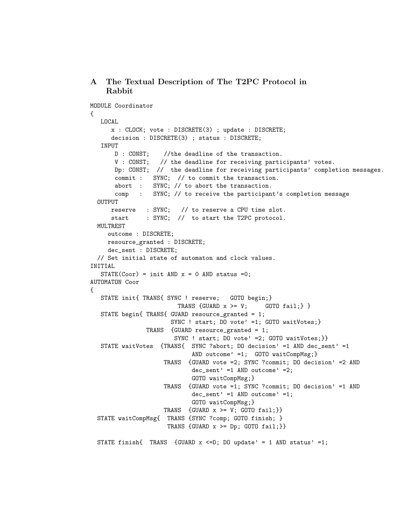# A The Textual Description of The T2PC Protocol in Rabbit

```
MODULE Coordinator
{
  LOCAL
     x : CLOCK; vote : DISCRETE(3) ; update : DISCRETE;
     decision : DISCRETE(3) ; status : DISCRETE;
   TNPUT
      D : CONST; //the deadline of the transaction.
      V : CONST; // the deadline for receiving participants' votes.
      Dp: CONST; // the deadline for receiving participants' completion messages.
      commit : SYNC; // to commit the transaction.
       abort : SYNC; // to abort the transaction.
       comp : SYNC; // to receive the participant's completion message
  OUTPUT
     reserve : SYNC; // to reserve a CPU time slot.
     start : SYNC; // to start the T2PC protocol.
  MULTREST
     outcome : DISCRETE;
    resource_granted : DISCRETE;
     dec_sent : DISCRETE;
  // Set initial state of automaton and clock values.
INITIAL
   STATE(Coor) = init AND x = 0 AND status =0;AUTOMATON Coor
{
  STATE init{ TRANS{ SYNC ! reserve; GOTO begin;}
                         TRANS \{GUARD \; x \; >= \; V; GOTO \; fail;}STATE begin{ TRANS{ GUARD resource_granted = 1;
                       SYNC ! start; DO vote' =1; GOTO waitVotes;}
                TRANS {GUARD resource_granted = 1;
                        SYNC ! start; DO vote' =2; GOTO waitVotes; } }
  STATE waitVotes {TRANS{ SYNC ?abort; DO decision' =1 AND dec_sent' =1
                             AND outcome' =1; GOTO waitCompMsg; }
                     TRANS {GUARD vote =2; SYNC ?commit; DO decision' =2 AND
                             dec_sent' =1 AND outcome' =2;
                             GOTO waitCompMsg;}
                     TRANS {GUARD vote =1; SYNC ?commit; DO decision' =1 AND
                             dec_sent' =1 AND outcome' =1;
                             GOTO waitCompMsg;}
                     TRANS \{GUARD \times \gt = V; GOTO fail;\}STATE waitCompMsg{ TRANS {SYNC ?comp; GOTO finish; }
                     TRANS \{GUARD \times \gt = Dp; GOTO fail;\}STATE finish{ TRANS {GUARD x \le D; DO update' = 1 AND status' =1;
```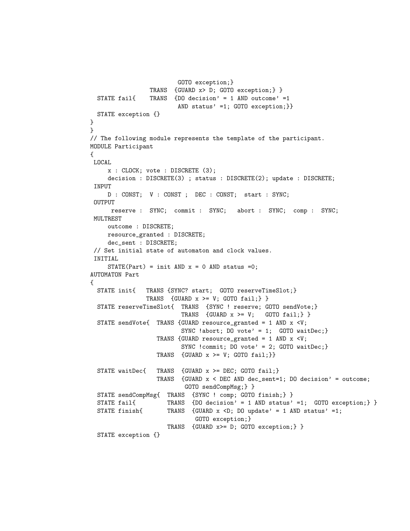```
GOTO exception;}
                TRANS {GUARD x> D; GOTO exception;} }
  STATE fail{ TRANS {DO decision' = 1 AND outcome' =1
                        AND status' =1; GOTO exception;}}
 STATE exception {}
}
}
// The following module represents the template of the participant.
MODULE Participant
{
LOCAL
     x : CLOCK; vote : DISCRETE (3);
     decision : DISCRETE(3) ; status : DISCRETE(2); update : DISCRETE;
 TNPUT
     D : CONST; V : CONST ; DEC : CONST; start : SYNC;
 OUTPUT
     reserve : SYNC; commit : SYNC; abort : SYNC; comp : SYNC;
 MULTREST
     outcome : DISCRETE;
    resource_granted : DISCRETE;
     dec_sent : DISCRETE;
 // Set initial state of automaton and clock values.
 INITIAL
     STATE(Part) = init AND x = 0 AND status =0;AUTOMATON Part
{
  STATE init{ TRANS {SYNC? start; GOTO reserveTimeSlot;}
               TRANS \{GUARD \; x \; >= \; V; \; GOTO \; fail; \}STATE reserveTimeSlot{ TRANS {SYNC ! reserve; GOTO sendVote;}
                          TRANS \{GUARD \times \geq V; GOTO fail;\}STATE sendVote{ TRANS {GUARD resource_granted = 1 AND x <V;
                         SYNC !abort; DO vote' = 1; GOTO waitDec; }
                  TRANS {GUARD resource_granted = 1 AND x <V;
                         SYNC !commit; DO vote' = 2; GOTO waitDec; }
                   TRANS \{GUARD \times \gt = V; GOTO fail;\}STATE waitDec{ TRANS {GUARD x >= DEC; GOTO fail;}
                   TRANS {GUARD x < DEC AND dec_sent=1; DO decision' = outcome;
                          GOTO sendCompMsg;} }
  STATE sendCompMsg{ TRANS {SYNC ! comp; GOTO finish;} }
  STATE fail{ TRANS {DO decision' = 1 AND status' =1; GOTO exception; } }
  STATE finish{ TRANS {GUARD x <D; DO update' = 1 AND status' =1;
                             GOTO exception;}
                     TRANS {GUARD x>= D; GOTO exception;} }
  STATE exception {}
```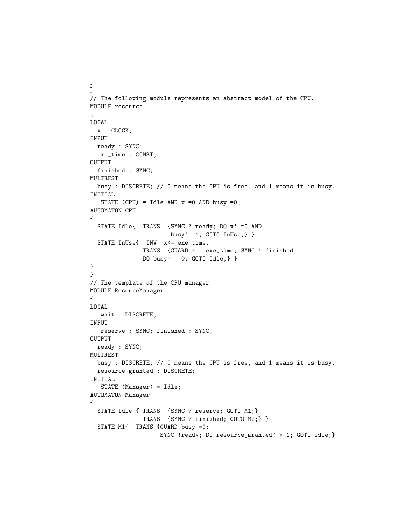```
}
}
// The following module represents an abstract model of the CPU.
MODULE resource
{
LOCAL
  x : CLOCK;
INPUT
 ready : SYNC;
  exe_time : CONST;
OUTPUT
 finished : SYNC;
MULTREST
  busy : DISCRETE; // 0 means the CPU is free, and 1 means it is busy.
INITIAL
   STATE (CPU) = Idle AND x =0 AND busy =0;
AUTOMATON CPU
{
  STATE Idle{ TRANS {SYNC ? ready; DO x' =0 AND
                       busy' =1; GOTO InUse;} }
  STATE InUse{ INV x<= exe_time;
               TRANS {GUARD x = exe_time; SYNC ! finished;
               DO busy' = 0; GOTO Idle;}}
}
}
// The template of the CPU manager.
MODULE ResouceManager
{
LOCAL
   wait : DISCRETE;
INPUT
  reserve : SYNC; finished : SYNC;
OUTPUT
 ready : SYNC;
MULTREST
  busy : DISCRETE; // 0 means the CPU is free, and 1 means it is busy.
  resource_granted : DISCRETE;
INITIAL
   STATE (Manager) = Idle;
AUTOMATON Manager
{
  STATE Idle { TRANS {SYNC ? reserve; GOTO M1;}
               TRANS {SYNC ? finished; GOTO M2;} }
  STATE M1{ TRANS {GUARD busy =0;
                    SYNC !ready; DO resource_granted' = 1; GOTO Idle;}
```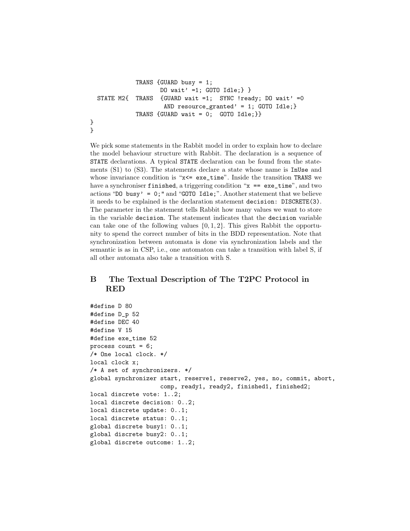```
TRANS {GUARD busy = 1;
                      DO wait' =1; GOTO Idle;} }
  STATE M2{ TRANS {GUARD wait =1; SYNC !ready; DO wait' =0
                       AND resource_granted' = 1; GOTO Idle;}
              TRANS \{GUARD \text{ wait} = 0; \text{ GOTO} \text{ Ide}; \}}
}
```
We pick some statements in the Rabbit model in order to explain how to declare the model behaviour structure with Rabbit. The declaration is a sequence of STATE declarations. A typical STATE declaration can be found from the statements (S1) to (S3). The statements declare a state whose name is InUse and whose invariance condition is "x<= exe\_time". Inside the transition TRANS we have a synchroniser finished, a triggering condition " $x ==$  exe\_time", and two actions "DO busy' =  $0$ ; " and "GOTO Idle;". Another statement that we believe it needs to be explained is the declaration statement decision: DISCRETE(3). The parameter in the statement tells Rabbit how many values we want to store in the variable decision. The statement indicates that the decision variable can take one of the following values  $\{0, 1, 2\}$ . This gives Rabbit the opportunity to spend the correct number of bits in the BDD representation. Note that synchronization between automata is done via synchronization labels and the semantic is as in CSP, i.e., one automaton can take a transition with label S, if all other automata also take a transition with S.

# B The Textual Description of The T2PC Protocol in RED

```
#define D 80
#define D_p 52
#define DEC 40
#define V 15
#define exe_time 52
process count = 6;
/* One local clock. */
local clock x;
/* A set of synchronizers. */
global synchronizer start, reserve1, reserve2, yes, no, commit, abort,
                    comp, ready1, ready2, finished1, finished2;
local discrete vote: 1..2;
local discrete decision: 0..2;
local discrete update: 0..1;
local discrete status: 0..1;
global discrete busy1: 0..1;
global discrete busy2: 0..1;
global discrete outcome: 1..2;
```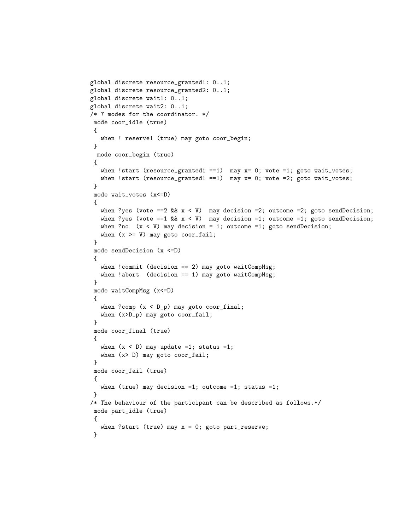```
global discrete resource_granted1: 0..1;
global discrete resource_granted2: 0..1;
global discrete wait1: 0..1;
global discrete wait2: 0..1;
/* 7 modes for the coordinator. */
mode coor_idle (true)
{
  when ! reserve1 (true) may goto coor_begin;
}
 mode coor_begin (true)
{
  when !start (resource_granted1 ==1) may x= 0; vote =1; goto wait_votes;
  when !start (resource_granted1 ==1) may x= 0; vote =2; goto wait_votes;
}
mode wait_votes (x<=D)
{
  when ?yes (vote ==2 && x < V) may decision =2; outcome =2; goto sendDecision;
  when ?yes (vote ==1 && x < V) may decision =1; outcome =1; goto sendDecision;
  when ?no (x < V) may decision = 1; outcome =1; goto sendDecision;
  when (x \geq V) may goto coor_fail;
}
mode sendDecision (x <=D)
{
  when !commit (decision == 2) may goto waitCompMsg;
  when !abort (decision == 1) may goto waitCompMsg;
}
mode waitCompMsg (x<=D)
{
  when ?comp (x < D_p) may goto coor_final;
  when (x>D_p) may goto coor_fail;
}
mode coor_final (true)
{
  when (x < D) may update =1; status =1;
  when (x> 0) may goto coor_fail;
}
mode coor_fail (true)
{
  when (true) may decision =1; outcome =1; status =1;
}
/* The behaviour of the participant can be described as follows.*/
mode part_idle (true)
{
  when ?start (true) may x = 0; goto part_reserve;
}
```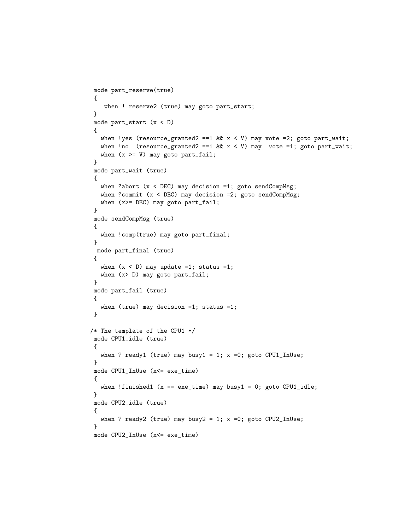```
mode part_reserve(true)
{
   when ! reserve2 (true) may goto part_start;
}
mode part_start (x < D)
{
  when !yes (resource_granted2 ==1 && x < V) may vote =2; goto part_wait;
  when !no (resource_granted2 ==1 && x < V) may vote =1; goto part_wait;
  when (x \geq V) may goto part_fail;
}
mode part_wait (true)
{
  when ?abort (x < DEC) may decision =1; goto sendCompMsg;
  when ?commit (x < DEC) may decision =2; goto sendCompMsg;
  when (x>= DEC) may goto part_fail;
}
mode sendCompMsg (true)
{
  when !comp(true) may goto part_final;
}
 mode part_final (true)
{
  when (x < D) may update =1; status =1;
  when (x> D) may goto part_fail;
}
mode part_fail (true)
{
  when (true) may decision =1; status =1;
}
/* The template of the CPU1 */
mode CPU1_idle (true)
{
  when ? ready1 (true) may busy1 = 1; x = 0; goto CPU1_InUse;
}
mode CPU1_InUse (x<= exe_time)
{
  when !finished1 (x == exe_time) may busy1 = 0; goto CPU1_idle;
}
mode CPU2_idle (true)
{
  when ? ready2 (true) may busy2 = 1; x = 0; goto CPU2_InUse;
}
mode CPU2_InUse (x<= exe_time)
```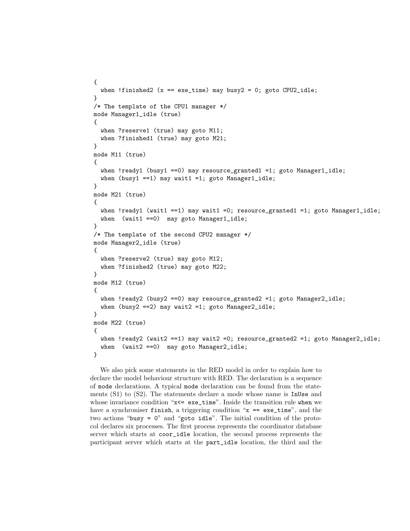```
{
  when !finished2 (x == exec_time) may busy2 = 0; goto CPU2_idle;
}
/* The template of the CPU1 manager */
mode Manager1_idle (true)
{
 when ?reserve1 (true) may goto M11;
  when ?finished1 (true) may goto M21;
}
mode M11 (true)
{
 when !ready1 (busy1 ==0) may resource_granted1 =1; goto Manager1_idle;
 when (busy1 == 1) may wait1 =1; goto Manager1_idle;
}
mode M21 (true)
{
 when !ready1 (wait1 ==1) may wait1 =0; resource_granted1 =1; goto Manager1_idle;
 when (wait1 ==0) may goto Manager1_idle;
}
/* The template of the second CPU2 manager */
mode Manager2_idle (true)
\mathcal{L}when ?reserve2 (true) may goto M12;
  when ?finished2 (true) may goto M22;
}
mode M12 (true)
{
 when !ready2 (busy2 ==0) may resource_granted2 =1; goto Manager2_idle;
  when (busy2 ==2) may wait2 =1; goto Manager2_idle;
}
mode M22 (true)
{
 when !ready2 (wait2 ==1) may wait2 =0; resource_granted2 =1; goto Manager2_idle;
  when (wait2 ==0) may goto Manager2_idle;
}
```
We also pick some statements in the RED model in order to explain how to declare the model behaviour structure with RED. The declaration is a sequence of mode declarations. A typical mode declaration can be found from the statements (S1) to (S2). The statements declare a mode whose name is InUse and whose invariance condition "x<= exe\_time". Inside the transition rule when we have a synchroniser finish, a triggering condition " $x == exe_time$ ", and the two actions "busy = 0" and "goto idle". The initial condition of the protocol declares six processes. The first process represents the coordinator database server which starts at coor\_idle location, the second process represents the participant server which starts at the part\_idle location, the third and the